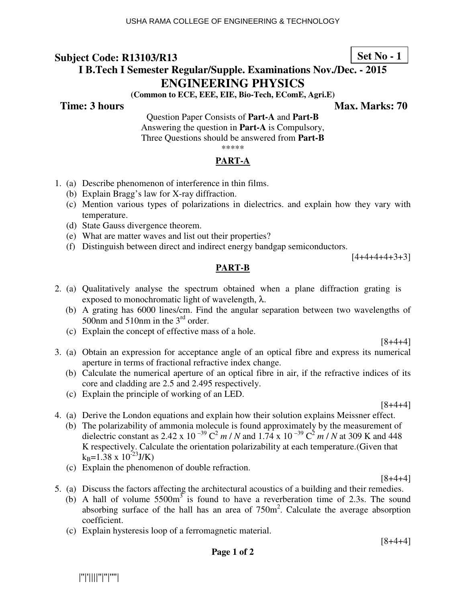# **Set No - 1**

# **I B.Tech I Semester Regular/Supple. Examinations Nov./Dec. - 2015 ENGINEERING PHYSICS**

**(Common to ECE, EEE, EIE, Bio-Tech, EComE, Agri.E)** 

**Time: 3 hours Max. Marks: 70 Max. Marks: 70** 

Question Paper Consists of **Part-A** and **Part-B** Answering the question in **Part-A** is Compulsory, Three Questions should be answered from **Part-B**

#### \*\*\*\*\*

#### **PART-A**

- 1. (a) Describe phenomenon of interference in thin films.
	- (b) Explain Bragg's law for X-ray diffraction.
	- (c) Mention various types of polarizations in dielectrics. and explain how they vary with temperature.
	- (d) State Gauss divergence theorem.
	- (e) What are matter waves and list out their properties?
	- (f) Distinguish between direct and indirect energy bandgap semiconductors.

 $[4+4+4+4+3+3]$ 

#### **PART-B**

- 2. (a) Qualitatively analyse the spectrum obtained when a plane diffraction grating is exposed to monochromatic light of wavelength,  $\lambda$ .
	- (b) A grating has 6000 lines/cm. Find the angular separation between two wavelengths of 500nm and 510nm in the 3<sup>rd</sup> order.
	- (c) Explain the concept of effective mass of a hole.

[8+4+4]

- 3. (a) Obtain an expression for acceptance angle of an optical fibre and express its numerical aperture in terms of fractional refractive index change.
	- (b) Calculate the numerical aperture of an optical fibre in air, if the refractive indices of its core and cladding are 2.5 and 2.495 respectively.
	- (c) Explain the principle of working of an LED.

[8+4+4]

4. (a) Derive the London equations and explain how their solution explains Meissner effect. (b) The polarizability of ammonia molecule is found approximately by the measurement of dielectric constant as 2.42 x 10<sup>-39</sup> C<sup>2</sup> *m* / *N* and 1.74 x 10<sup>-39</sup> C<sup>2</sup> *m* / *N* at 309 K and 448 K respectively. Calculate the orientation polarizability at each temperature.(Given that

 $k_B$ =1.38 x 10<sup>-23</sup>J/K)

(c) Explain the phenomenon of double refraction.

[8+4+4]

[8+4+4]

- 5. (a) Discuss the factors affecting the architectural acoustics of a building and their remedies.
	- (b) A hall of volume  $5500m<sup>3</sup>$  is found to have a reverberation time of 2.3s. The sound absorbing surface of the hall has an area of  $750m^2$ . Calculate the average absorption coefficient.
	- (c) Explain hysteresis loop of a ferromagnetic material.

**Page 1 of 2**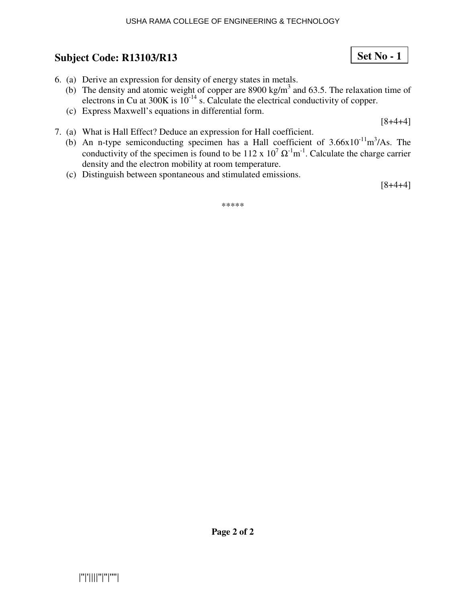- 6. (a) Derive an expression for density of energy states in metals.
	- (b) The density and atomic weight of copper are 8900 kg/m<sup>3</sup> and 63.5. The relaxation time of electrons in Cu at  $300K$  is  $10^{-14}$  s. Calculate the electrical conductivity of copper.
	- (c) Express Maxwell's equations in differential form.

 $[8+4+4]$ 

- 7. (a) What is Hall Effect? Deduce an expression for Hall coefficient.
	- (b) An n-type semiconducting specimen has a Hall coefficient of  $3.66 \times 10^{-11} \text{m}^3/\text{As}$ . The conductivity of the specimen is found to be 112 x  $10^7 \Omega^{-1}$ m<sup>-1</sup>. Calculate the charge carrier density and the electron mobility at room temperature.
	- (c) Distinguish between spontaneous and stimulated emissions.

[8+4+4]

\*\*\*\*\*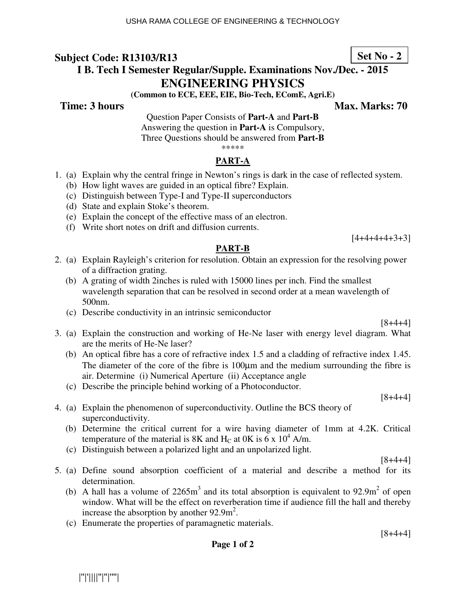# **I B. Tech I Semester Regular/Supple. Examinations Nov./Dec. - 2015 ENGINEERING PHYSICS**

**(Common to ECE, EEE, EIE, Bio-Tech, EComE, Agri.E)** 

**Time: 3 hours Max. Marks: 70 Max. Marks: 70** 

Question Paper Consists of **Part-A** and **Part-B** Answering the question in **Part-A** is Compulsory, Three Questions should be answered from **Part-B**

\*\*\*\*\*

#### **PART-A**

- 1. (a) Explain why the central fringe in Newton's rings is dark in the case of reflected system.
	- (b) How light waves are guided in an optical fibre? Explain.
	- (c) Distinguish between Type-I and Type-II superconductors
	- (d) State and explain Stoke's theorem.
	- (e) Explain the concept of the effective mass of an electron.
	- (f) Write short notes on drift and diffusion currents.

 $[4+4+4+4+3+3]$ 

#### **PART-B**

- 2. (a) Explain Rayleigh's criterion for resolution. Obtain an expression for the resolving power of a diffraction grating.
	- (b) A grating of width 2inches is ruled with 15000 lines per inch. Find the smallest wavelength separation that can be resolved in second order at a mean wavelength of 500nm.
	- (c) Describe conductivity in an intrinsic semiconductor

 $[8+4+4]$ 

- 3. (a) Explain the construction and working of He-Ne laser with energy level diagram. What are the merits of He-Ne laser?
	- (b) An optical fibre has a core of refractive index 1.5 and a cladding of refractive index 1.45. The diameter of the core of the fibre is 100µm and the medium surrounding the fibre is air. Determine (i) Numerical Aperture (ii) Acceptance angle
	- (c) Describe the principle behind working of a Photoconductor.

 $[8+4+4]$ 

[8+4+4]

- 4. (a) Explain the phenomenon of superconductivity. Outline the BCS theory of superconductivity.
	- (b) Determine the critical current for a wire having diameter of 1mm at 4.2K. Critical temperature of the material is 8K and  $H_C$  at 0K is 6 x 10<sup>4</sup> A/m.
	- (c) Distinguish between a polarized light and an unpolarized light.
- 5. (a) Define sound absorption coefficient of a material and describe a method for its determination.
	- (b) A hall has a volume of  $2265m<sup>3</sup>$  and its total absorption is equivalent to  $92.9m<sup>2</sup>$  of open window. What will be the effect on reverberation time if audience fill the hall and thereby increase the absorption by another  $92.9 \text{m}^2$ .
	- (c) Enumerate the properties of paramagnetic materials.

 $[8+4+4]$ 

**Page 1 of 2** 

|''|'||||''|''|''''|

# **Set No - 2**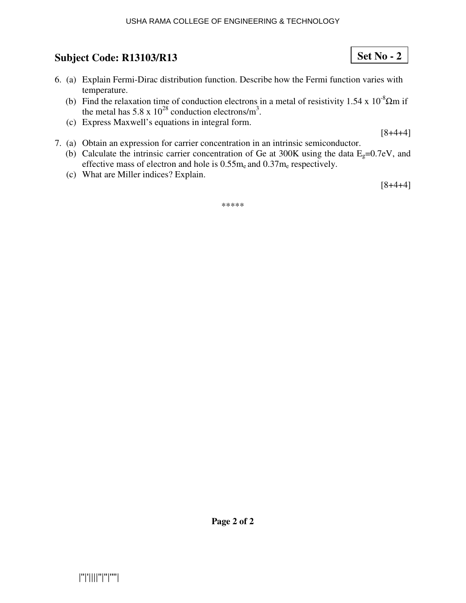#### USHA RAMA COLLEGE OF ENGINEERING & TECHNOLOGY

# **Subject Code: R13103/R13**

- 6. (a) Explain Fermi-Dirac distribution function. Describe how the Fermi function varies with temperature.
	- (b) Find the relaxation time of conduction electrons in a metal of resistivity 1.54 x  $10^{-8}$  $\Omega$ m if the metal has  $5.8 \times 10^{28}$  conduction electrons/m<sup>3</sup>.
	- (c) Express Maxwell's equations in integral form.

[8+4+4]

**Set No - 2**

- 7. (a) Obtain an expression for carrier concentration in an intrinsic semiconductor.
	- (b) Calculate the intrinsic carrier concentration of Ge at 300K using the data  $E_g=0.7eV$ , and effective mass of electron and hole is  $0.55m_e$  and  $0.37m_e$  respectively.
	- (c) What are Miller indices? Explain.

[8+4+4]

\*\*\*\*\*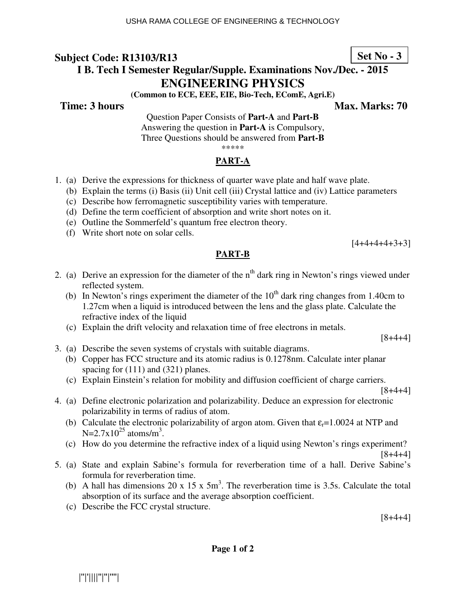# **I B. Tech I Semester Regular/Supple. Examinations Nov./Dec. - 2015 ENGINEERING PHYSICS**

**(Common to ECE, EEE, EIE, Bio-Tech, EComE, Agri.E)** 

**Time: 3 hours Max. Marks: 70 Max. Marks: 70** 

**Set No - 3**

Question Paper Consists of **Part-A** and **Part-B** Answering the question in **Part-A** is Compulsory, Three Questions should be answered from **Part-B**

\*\*\*\*\*

#### **PART-A**

- 1. (a) Derive the expressions for thickness of quarter wave plate and half wave plate.
	- (b) Explain the terms (i) Basis (ii) Unit cell (iii) Crystal lattice and (iv) Lattice parameters
	- (c) Describe how ferromagnetic susceptibility varies with temperature.
	- (d) Define the term coefficient of absorption and write short notes on it.
	- (e) Outline the Sommerfeld's quantum free electron theory.
	- (f) Write short note on solar cells.

 $[4+4+4+4+3+3]$ 

# **PART-B**

- 2. (a) Derive an expression for the diameter of the  $n<sup>th</sup>$  dark ring in Newton's rings viewed under reflected system.
	- (b) In Newton's rings experiment the diameter of the  $10<sup>th</sup>$  dark ring changes from 1.40cm to 1.27cm when a liquid is introduced between the lens and the glass plate. Calculate the refractive index of the liquid
	- (c) Explain the drift velocity and relaxation time of free electrons in metals.

3. (a) Describe the seven systems of crystals with suitable diagrams.

- (b) Copper has FCC structure and its atomic radius is 0.1278nm. Calculate inter planar spacing for  $(111)$  and  $(321)$  planes.
- (c) Explain Einstein's relation for mobility and diffusion coefficient of charge carriers.

[8+4+4]

[8+4+4]

[8+4+4]

- 4. (a) Define electronic polarization and polarizability. Deduce an expression for electronic polarizability in terms of radius of atom.
	- (b) Calculate the electronic polarizability of argon atom. Given that  $\varepsilon_r = 1.0024$  at NTP and N=2.7x10<sup>25</sup> atoms/m<sup>3</sup>.
	- (c) How do you determine the refractive index of a liquid using Newton's rings experiment?
- 5. (a) State and explain Sabine's formula for reverberation time of a hall. Derive Sabine's formula for reverberation time.
	- (b) A hall has dimensions 20 x 15 x  $5m<sup>3</sup>$ . The reverberation time is 3.5s. Calculate the total absorption of its surface and the average absorption coefficient.
	- (c) Describe the FCC crystal structure.

[8+4+4]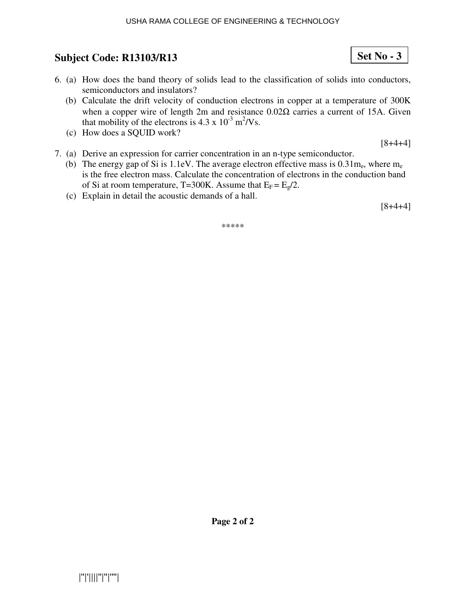#### USHA RAMA COLLEGE OF ENGINEERING & TECHNOLOGY

# **Subject Code: R13103/R13**

- 6. (a) How does the band theory of solids lead to the classification of solids into conductors, semiconductors and insulators?
	- (b) Calculate the drift velocity of conduction electrons in copper at a temperature of 300K when a copper wire of length 2m and resistance 0.02Ω carries a current of 15A. Given that mobility of the electrons is  $4.3 \times 10^{-3} \text{ m}^2/\text{Vs}.$
	- (c) How does a SQUID work?

[8+4+4]

**Set No - 3**

- 7. (a) Derive an expression for carrier concentration in an n-type semiconductor.
	- (b) The energy gap of Si is 1.1eV. The average electron effective mass is  $0.31$ m<sub>e</sub>, where m<sub>e</sub> is the free electron mass. Calculate the concentration of electrons in the conduction band of Si at room temperature, T=300K. Assume that  $E_F = E_g/2$ .
	- (c) Explain in detail the acoustic demands of a hall.

[8+4+4]

\*\*\*\*\*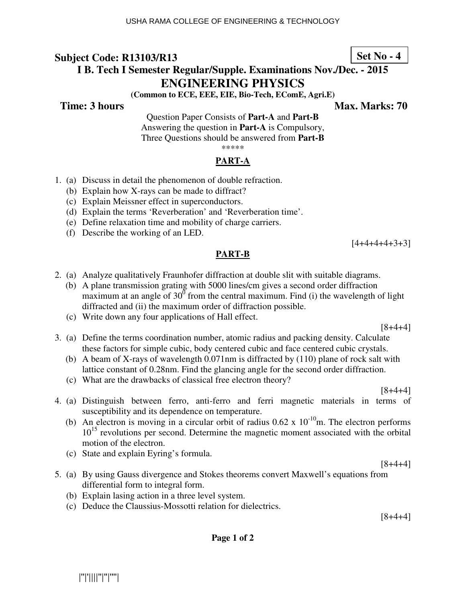# **I B. Tech I Semester Regular/Supple. Examinations Nov./Dec. - 2015 ENGINEERING PHYSICS**

**(Common to ECE, EEE, EIE, Bio-Tech, EComE, Agri.E)** 

**Time: 3 hours Max. Marks: 70 Max. Marks: 70** 

Question Paper Consists of **Part-A** and **Part-B** Answering the question in **Part-A** is Compulsory, Three Questions should be answered from **Part-B**

\*\*\*\*\*

#### **PART-A**

- 1. (a) Discuss in detail the phenomenon of double refraction.
	- (b) Explain how X-rays can be made to diffract?
	- (c) Explain Meissner effect in superconductors.
	- (d) Explain the terms 'Reverberation' and 'Reverberation time'.
	- (e) Define relaxation time and mobility of charge carriers.
	- (f) Describe the working of an LED.

 $[4+4+4+4+3+3]$ 

## **PART-B**

- 2. (a) Analyze qualitatively Fraunhofer diffraction at double slit with suitable diagrams.
	- (b) A plane transmission grating with 5000 lines/cm gives a second order diffraction maximum at an angle of  $30^{\circ}$  from the central maximum. Find (i) the wavelength of light diffracted and (ii) the maximum order of diffraction possible.
	- (c) Write down any four applications of Hall effect.

[8+4+4]

- 3. (a) Define the terms coordination number, atomic radius and packing density. Calculate these factors for simple cubic, body centered cubic and face centered cubic crystals.
	- (b) A beam of X-rays of wavelength 0.071nm is diffracted by (110) plane of rock salt with lattice constant of 0.28nm. Find the glancing angle for the second order diffraction.
	- (c) What are the drawbacks of classical free electron theory?

 $[8+4+4]$ 

- 4. (a) Distinguish between ferro, anti-ferro and ferri magnetic materials in terms of susceptibility and its dependence on temperature.
	- (b) An electron is moving in a circular orbit of radius  $0.62 \times 10^{-10}$ m. The electron performs 10<sup>15</sup> revolutions per second. Determine the magnetic moment associated with the orbital motion of the electron.
	- (c) State and explain Eyring's formula.
- 5. (a) By using Gauss divergence and Stokes theorems convert Maxwell's equations from differential form to integral form.
	- (b) Explain lasing action in a three level system.
	- (c) Deduce the Claussius-Mossotti relation for dielectrics.

[8+4+4]

 $[8+4+4]$ 

**Page 1 of 2** 

**Set No - 4**